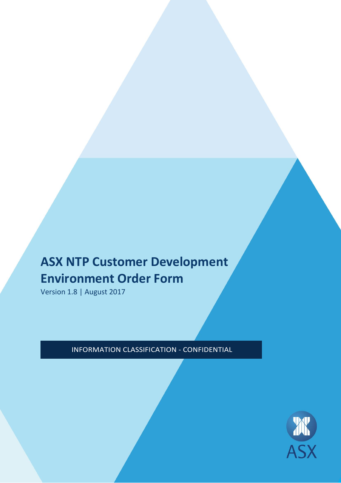# **ASX NTP Customer Development Environment Order Form**

Version 1.8 | August 2017

INFORMATION CLASSIFICATION - CONFIDENTIAL

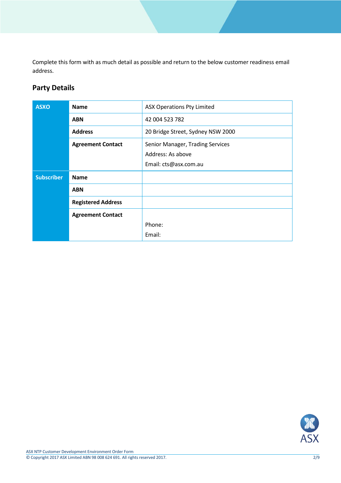Complete this form with as much detail as possible and return to the below customer readiness email address.

# **Party Details**

| <b>ASXO</b>       | <b>Name</b>               | <b>ASX Operations Pty Limited</b> |
|-------------------|---------------------------|-----------------------------------|
|                   | <b>ABN</b>                | 42 004 523 782                    |
|                   | <b>Address</b>            | 20 Bridge Street, Sydney NSW 2000 |
|                   | <b>Agreement Contact</b>  | Senior Manager, Trading Services  |
|                   |                           | Address: As above                 |
|                   |                           | Email: cts@asx.com.au             |
| <b>Subscriber</b> | <b>Name</b>               |                                   |
|                   | <b>ABN</b>                |                                   |
|                   | <b>Registered Address</b> |                                   |
|                   | <b>Agreement Contact</b>  |                                   |
|                   |                           | Phone:                            |
|                   |                           | Email:                            |

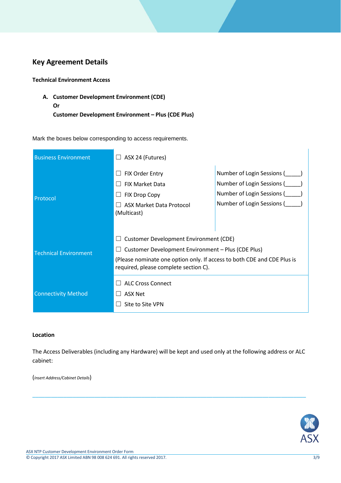# **Key Agreement Details**

**Technical Environment Access**

**A. Customer Development Environment (CDE) Or Customer Development Environment – Plus (CDE Plus)** 

Mark the boxes below corresponding to access requirements.

| <b>Business Environment</b>  | ASX 24 (Futures)<br>$\vert \ \ \vert$                                                                            |                            |  |
|------------------------------|------------------------------------------------------------------------------------------------------------------|----------------------------|--|
|                              | <b>FIX Order Entry</b>                                                                                           | Number of Login Sessions ( |  |
|                              | <b>FIX Market Data</b>                                                                                           | Number of Login Sessions ( |  |
| Protocol                     | FIX Drop Copy                                                                                                    | Number of Login Sessions ( |  |
|                              | ASX Market Data Protocol<br>(Multicast)                                                                          | Number of Login Sessions ( |  |
|                              |                                                                                                                  |                            |  |
|                              | <b>Customer Development Environment (CDE)</b>                                                                    |                            |  |
| <b>Technical Environment</b> | Customer Development Environment - Plus (CDE Plus)                                                               |                            |  |
|                              | (Please nominate one option only. If access to both CDE and CDE Plus is<br>required, please complete section C). |                            |  |
|                              | <b>ALC Cross Connect</b>                                                                                         |                            |  |
| <b>Connectivity Method</b>   | <b>ASX Net</b>                                                                                                   |                            |  |
|                              | Site to Site VPN                                                                                                 |                            |  |

#### **Location**

The Access Deliverables (including any Hardware) will be kept and used only at the following address or ALC cabinet:

\_\_\_\_\_\_\_\_\_\_\_\_\_\_\_\_\_\_\_\_\_\_\_\_\_\_\_\_\_\_\_\_\_\_\_\_\_\_\_\_\_\_\_\_\_\_\_\_\_\_\_\_\_\_\_\_\_\_\_\_\_\_\_\_\_\_\_\_\_\_\_\_\_\_\_\_\_\_\_\_\_\_\_\_\_\_\_\_

(*Insert Address/Cabinet Details*)

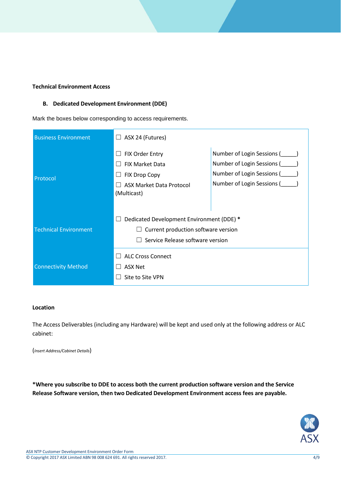# **Technical Environment Access**

### **B. Dedicated Development Environment (DDE)**

Mark the boxes below corresponding to access requirements.

| <b>Business Environment</b>  | ASX 24 (Futures)<br>⊔                                                                                                             |                                                                                                                      |
|------------------------------|-----------------------------------------------------------------------------------------------------------------------------------|----------------------------------------------------------------------------------------------------------------------|
| Protocol                     | FIX Order Entry<br>$\vert \ \ \vert$<br><b>FIX Market Data</b><br><b>FIX Drop Copy</b><br>ASX Market Data Protocol<br>(Multicast) | Number of Login Sessions (<br>Number of Login Sessions (<br>Number of Login Sessions (<br>Number of Login Sessions ( |
| <b>Technical Environment</b> | Dedicated Development Environment (DDE) *<br>Current production software version<br>Service Release software version              |                                                                                                                      |
| <b>Connectivity Method</b>   | <b>ALC Cross Connect</b><br><b>ASX Net</b><br>Site to Site VPN                                                                    |                                                                                                                      |

#### **Location**

The Access Deliverables (including any Hardware) will be kept and used only at the following address or ALC cabinet:

(*Insert Address/Cabinet Details*)

**\*Where you subscribe to DDE to access both the current production software version and the Service Release Software version, then two Dedicated Development Environment access fees are payable.** 

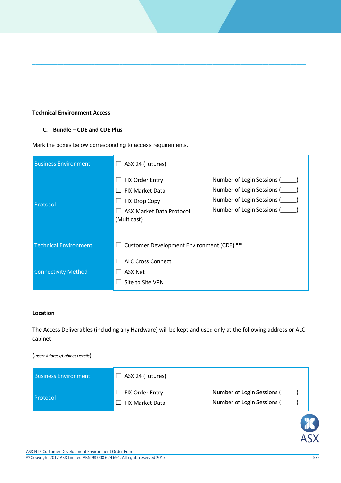#### **Technical Environment Access**

### **C. Bundle – CDE and CDE Plus**

Mark the boxes below corresponding to access requirements.

| <b>Business Environment</b>  | ASX 24 (Futures)<br>ப                                                                                                         |                                                                                                                      |
|------------------------------|-------------------------------------------------------------------------------------------------------------------------------|----------------------------------------------------------------------------------------------------------------------|
| Protocol                     | FIX Order Entry<br>$\mathcal{L}$<br><b>FIX Market Data</b><br><b>FIX Drop Copy</b><br>ASX Market Data Protocol<br>(Multicast) | Number of Login Sessions (<br>Number of Login Sessions (<br>Number of Login Sessions (<br>Number of Login Sessions ( |
| <b>Technical Environment</b> | Customer Development Environment (CDE) **<br>$\overline{\phantom{a}}$                                                         |                                                                                                                      |
| <b>Connectivity Method</b>   | <b>ALC Cross Connect</b><br><b>ASX Net</b><br>Site to Site VPN                                                                |                                                                                                                      |

\_\_\_\_\_\_\_\_\_\_\_\_\_\_\_\_\_\_\_\_\_\_\_\_\_\_\_\_\_\_\_\_\_\_\_\_\_\_\_\_\_\_\_\_\_\_\_\_\_\_\_\_\_\_\_\_\_\_\_\_\_\_\_\_\_\_\_\_\_\_\_\_\_\_\_\_\_\_\_\_\_\_\_\_\_\_\_\_

## **Location**

The Access Deliverables (including any Hardware) will be kept and used only at the following address or ALC cabinet:

#### (*Insert Address/Cabinet Details*)

| <b>Business Environment</b> | $\Box$ ASX 24 (Futures)                          |                                                          |
|-----------------------------|--------------------------------------------------|----------------------------------------------------------|
| <b>Protocol</b>             | $\Box$ FIX Order Entry<br>$\Box$ FIX Market Data | Number of Login Sessions (<br>Number of Login Sessions ( |

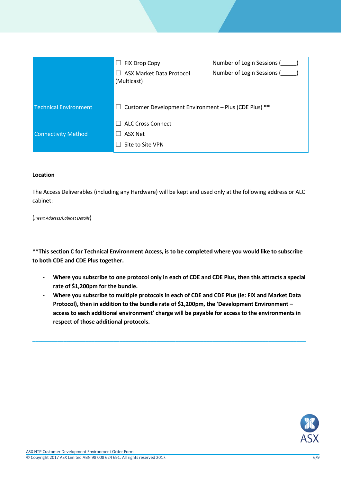|                              | <b>FIX Drop Copy</b><br>പ<br>ASX Market Data Protocol<br>(Multicast) | Number of Login Sessions (<br>Number of Login Sessions ( |
|------------------------------|----------------------------------------------------------------------|----------------------------------------------------------|
| <b>Technical Environment</b> | Customer Development Environment - Plus (CDE Plus) **<br>ப           |                                                          |
|                              | <b>ALC Cross Connect</b>                                             |                                                          |
| <b>Connectivity Method</b>   | ASX Net                                                              |                                                          |
|                              | Site to Site VPN                                                     |                                                          |

#### **Location**

The Access Deliverables (including any Hardware) will be kept and used only at the following address or ALC cabinet:

(*Insert Address/Cabinet Details*)

**\*\*This section C for Technical Environment Access, is to be completed where you would like to subscribe to both CDE and CDE Plus together.** 

- **- Where you subscribe to one protocol only in each of CDE and CDE Plus, then this attracts a special rate of \$1,200pm for the bundle.**
- **- Where you subscribe to multiple protocols in each of CDE and CDE Plus (ie: FIX and Market Data Protocol), then in addition to the bundle rate of \$1,200pm, the 'Development Environment – access to each additional environment' charge will be payable for access to the environments in respect of those additional protocols.**

\_\_\_\_\_\_\_\_\_\_\_\_\_\_\_\_\_\_\_\_\_\_\_\_\_\_\_\_\_\_\_\_\_\_\_\_\_\_\_\_\_\_\_\_\_\_\_\_\_\_\_\_\_\_\_\_\_\_\_\_\_\_\_\_\_\_\_\_\_\_\_\_\_\_\_\_\_\_\_\_\_\_\_\_\_\_\_\_

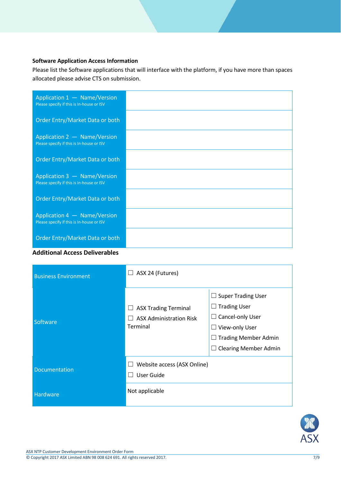# **Software Application Access Information**

Please list the Software applications that will interface with the platform, if you have more than spaces allocated please advise CTS on submission.

| Application 1 - Name/Version<br>Please specify if this is In-house or ISV |  |
|---------------------------------------------------------------------------|--|
| Order Entry/Market Data or both                                           |  |
| Application 2 - Name/Version<br>Please specify if this is In-house or ISV |  |
| Order Entry/Market Data or both                                           |  |
| Application 3 - Name/Version<br>Please specify if this is In-house or ISV |  |
| Order Entry/Market Data or both                                           |  |
| Application 4 - Name/Version<br>Please specify if this is In-house or ISV |  |
| Order Entry/Market Data or both                                           |  |



| <b>Business Environment</b> | $\Box$ ASX 24 (Futures)                                                          |                                                                                                                                                       |
|-----------------------------|----------------------------------------------------------------------------------|-------------------------------------------------------------------------------------------------------------------------------------------------------|
| Software                    | <b>ASX Trading Terminal</b><br><b>ASX Administration Risk</b><br><b>Terminal</b> | <b>Super Trading User</b><br><b>Trading User</b><br>Cancel-only User<br>View-only User<br><b>Trading Member Admin</b><br><b>Clearing Member Admin</b> |
| Documentation               | Website access (ASX Online)<br>User Guide                                        |                                                                                                                                                       |
| Hardware                    | Not applicable                                                                   |                                                                                                                                                       |



**ASX**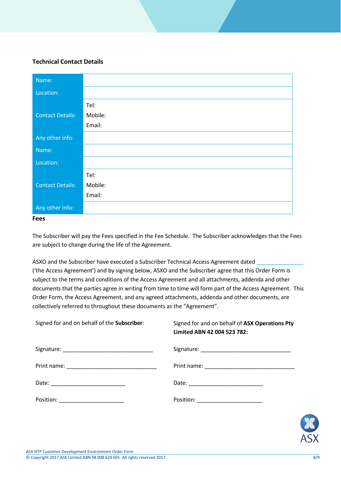## **Technical Contact Details**

| Name:                   |         |
|-------------------------|---------|
| Location:               |         |
|                         | Tel:    |
| <b>Contact Details:</b> | Mobile: |
|                         | Email:  |
| Any other info:         |         |
| Name:                   |         |
| Location:               |         |
|                         | Tel:    |
| <b>Contact Details:</b> | Mobile: |
|                         | Email:  |
| Any other info:         |         |

#### **Fees**

The Subscriber will pay the Fees specified in the Fee Schedule. The Subscriber acknowledges that the Fees are subject to change during the life of the Agreement.

ASXO and the Subscriber have executed a Subscriber Technical Access Agreement dated ('the Access Agreement') and by signing below, ASXO and the Subscriber agree that this Order Form is subject to the terms and conditions of the Access Agreement and all attachments, addenda and other documents that the parties agree in writing from time to time will form part of the Access Agreement. This Order Form, the Access Agreement, and any agreed attachments, addenda and other documents, are collectively referred to throughout these documents as the "Agreement".

| Signed for and on behalf of the Subscriber: | Signed for and on behalf of ASX Operations Pty<br>Limited ABN 42 004 523 782: |
|---------------------------------------------|-------------------------------------------------------------------------------|
|                                             |                                                                               |
|                                             |                                                                               |
|                                             |                                                                               |
| Position: _______________________           | Position: _______________________                                             |
|                                             |                                                                               |